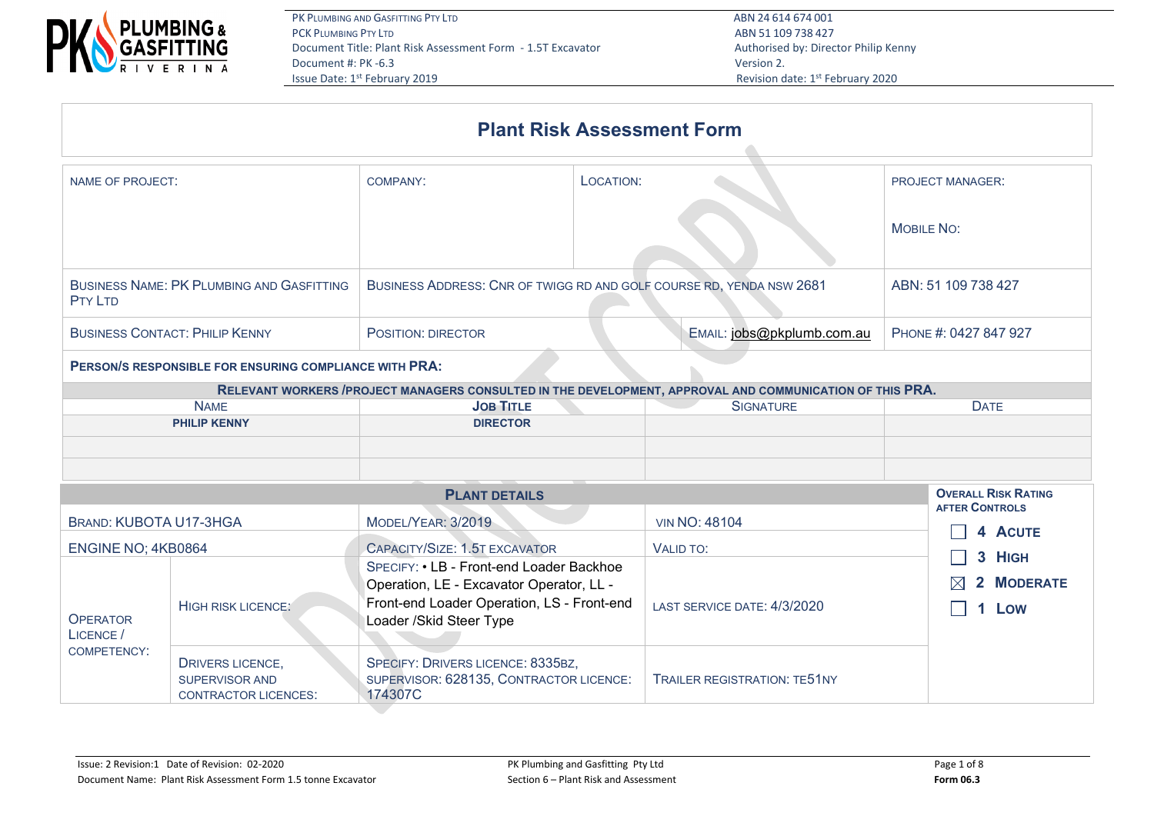

|                                                                    |                                                                      | <b>Plant Risk Assessment Form</b>                                                                         |                            |  |
|--------------------------------------------------------------------|----------------------------------------------------------------------|-----------------------------------------------------------------------------------------------------------|----------------------------|--|
| NAME OF PROJECT:                                                   | COMPANY:                                                             | LOCATION:                                                                                                 | <b>PROJECT MANAGER:</b>    |  |
|                                                                    |                                                                      |                                                                                                           | <b>MOBILE NO:</b>          |  |
| <b>BUSINESS NAME: PK PLUMBING AND GASFITTING</b><br><b>PTY LTD</b> | BUSINESS ADDRESS: CNR OF TWIGG RD AND GOLF COURSE RD, YENDA NSW 2681 | ABN: 51 109 738 427                                                                                       |                            |  |
| <b>BUSINESS CONTACT: PHILIP KENNY</b>                              | <b>POSITION: DIRECTOR</b>                                            | PHONE #: 0427 847 927                                                                                     |                            |  |
| PERSON/S RESPONSIBLE FOR ENSURING COMPLIANCE WITH PRA:             |                                                                      |                                                                                                           |                            |  |
|                                                                    |                                                                      | RELEVANT WORKERS / PROJECT MANAGERS CONSULTED IN THE DEVELOPMENT, APPROVAL AND COMMUNICATION OF THIS PRA. |                            |  |
| <b>NAME</b>                                                        | <b>JOB TITLE</b>                                                     | <b>SIGNATURE</b>                                                                                          | <b>DATE</b>                |  |
| <b>PHILIP KENNY</b>                                                | <b>DIRECTOR</b>                                                      |                                                                                                           |                            |  |
|                                                                    |                                                                      |                                                                                                           |                            |  |
|                                                                    |                                                                      |                                                                                                           |                            |  |
|                                                                    | <b>PLANT DETAILS</b>                                                 |                                                                                                           | <b>OVERALL RISK RATING</b> |  |
| <b>BRAND: KUBOTA U17-3HGA</b>                                      | MODEL/YEAR: 3/2019                                                   | <b>VIN NO: 48104</b>                                                                                      | <b>AFTER CONTROLS</b>      |  |
|                                                                    |                                                                      |                                                                                                           | 4 ACUTE                    |  |
| ENGINE NO; 4KB0864                                                 | CAPACITY/SIZE: 1.5T EXCAVATOR                                        | <b>VALID TO:</b>                                                                                          | 3 HIGH                     |  |
|                                                                    | SPECIEV: • I.B., Eront-end Loader Backhoe                            |                                                                                                           |                            |  |

| <b>OPERATOR</b><br>LICENCE /<br>COMPETENCY: | HIGH RISK LICENCE:                                                | SPECIFY: • LB - Front-end Loader Backhoe<br>Operation, LE - Excavator Operator, LL -<br>Front-end Loader Operation, LS - Front-end<br>Loader /Skid Steer Type | LAST SERVICE DATE: 4/3/2020         | <b>J</b> FIGH<br>$\boxtimes$ 2 MODERATE<br>Low |
|---------------------------------------------|-------------------------------------------------------------------|---------------------------------------------------------------------------------------------------------------------------------------------------------------|-------------------------------------|------------------------------------------------|
|                                             | DRIVERS LICENCE,<br>SUPERVISOR AND<br><b>CONTRACTOR LICENCES:</b> | SPECIFY: DRIVERS LICENCE: 8335BZ,<br>SUPERVISOR: 628135, CONTRACTOR LICENCE:<br>174307C                                                                       | <b>TRAILER REGISTRATION: TE51NY</b> |                                                |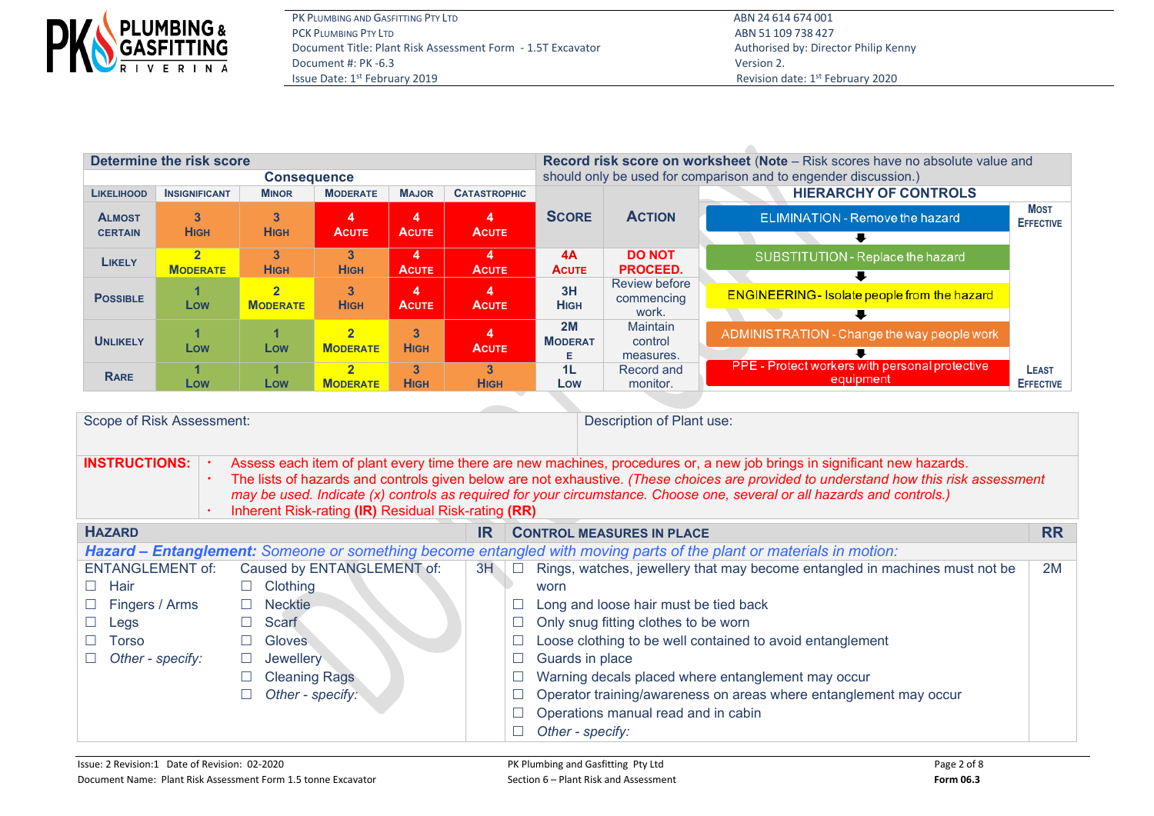

| Determine the risk score |                      |                         |                  |                         |                     | Record risk score on worksheet (Note - Risk scores have no absolute value and |                                                                 |                                                     |                                 |  |  |  |  |
|--------------------------|----------------------|-------------------------|------------------|-------------------------|---------------------|-------------------------------------------------------------------------------|-----------------------------------------------------------------|-----------------------------------------------------|---------------------------------|--|--|--|--|
|                          |                      | <b>Consequence</b>      |                  |                         |                     |                                                                               | should only be used for comparison and to engender discussion.) |                                                     |                                 |  |  |  |  |
| <b>LIKELIHOOD</b>        | <b>INSIGNIFICANT</b> | <b>MINOR</b>            | <b>MODERATE</b>  | <b>MAJOR</b>            | <b>CATASTROPHIC</b> |                                                                               |                                                                 | <b>HIERARCHY OF CONTROLS</b>                        |                                 |  |  |  |  |
| <b>ALMOST</b>            | $\mathbf{3}$         | 3                       | 4                | 4                       | 4                   | <b>SCORE</b>                                                                  | <b>ACTION</b>                                                   | ELIMINATION - Remove the hazard                     | <b>MOST</b><br><b>EFFECTIVE</b> |  |  |  |  |
| <b>CERTAIN</b>           | <b>HIGH</b>          | <b>HIGH</b>             | <b>ACUTE</b>     | <b>ACUTE</b>            | <b>ACUTE</b>        |                                                                               |                                                                 |                                                     |                                 |  |  |  |  |
| LIKELY                   | <b>MODERATE</b>      | 3<br><b>HIGH</b>        | 3<br><b>HIGH</b> | 4<br><b>ACUTE</b>       | 4<br><b>ACUTE</b>   | 4A<br><b>ACUTE</b>                                                            | <b>DO NOT</b><br><b>PROCEED.</b>                                | SUBSTITUTION - Replace the hazard                   |                                 |  |  |  |  |
|                          |                      |                         |                  |                         |                     |                                                                               | Review before                                                   |                                                     |                                 |  |  |  |  |
| <b>POSSIBLE</b>          | и                    | $\overline{\mathbf{2}}$ | 3                | $\overline{\mathbf{A}}$ | 4                   | 3H                                                                            |                                                                 | <b>ENGINEERING - Isolate people from the hazard</b> |                                 |  |  |  |  |
|                          | Low                  | <b>MODERATE</b>         | <b>HIGH</b>      | <b>ACUTE</b>            | <b>ACUTE</b>        | <b>HIGH</b>                                                                   | commencing<br>work.                                             |                                                     |                                 |  |  |  |  |
| <b>UNLIKELY</b>          |                      |                         | $\overline{2}$   | $\mathbf{3}$            |                     | 2M                                                                            |                                                                 | ADMINISTRATION - Change the way people work         |                                 |  |  |  |  |
|                          | Low                  | Low                     | <b>MODERATE</b>  | <b>HIGH</b>             | <b>ACUTE</b>        | <b>MODERAT</b><br>Е                                                           | control<br>measures.                                            |                                                     |                                 |  |  |  |  |
| <b>RARE</b>              |                      |                         | $\overline{2}$   | 3                       | 3                   | 1L                                                                            | Record and                                                      | PPE - Protect workers with personal protective      | <b>LEAST</b>                    |  |  |  |  |
|                          | Low                  | Low                     | <b>MODERATE</b>  | <b>HIGH</b>             | <b>HIGH</b>         | Low                                                                           | monitor.                                                        | equipment                                           | <b>EFFECTIVE</b>                |  |  |  |  |

| Scope of Risk Assessment: |  |                                                                                                                                                                                                                                                                                                                                                                                                                                                    |     |        | Description of Plant use:                                                                                           |           |  |  |  |
|---------------------------|--|----------------------------------------------------------------------------------------------------------------------------------------------------------------------------------------------------------------------------------------------------------------------------------------------------------------------------------------------------------------------------------------------------------------------------------------------------|-----|--------|---------------------------------------------------------------------------------------------------------------------|-----------|--|--|--|
| <b>INSTRUCTIONS:</b>      |  | Assess each item of plant every time there are new machines, procedures or, a new job brings in significant new hazards.<br>The lists of hazards and controls given below are not exhaustive. (These choices are provided to understand how this risk assessment<br>may be used. Indicate (x) controls as required for your circumstance. Choose one, several or all hazards and controls.)<br>Inherent Risk-rating (IR) Residual Risk-rating (RR) |     |        |                                                                                                                     |           |  |  |  |
| <b>HAZARD</b>             |  |                                                                                                                                                                                                                                                                                                                                                                                                                                                    | IR. |        | <b>CONTROL MEASURES IN PLACE</b>                                                                                    | <b>RR</b> |  |  |  |
|                           |  |                                                                                                                                                                                                                                                                                                                                                                                                                                                    |     |        | Hazard – Entanglement: Someone or something become entangled with moving parts of the plant or materials in motion: |           |  |  |  |
| <b>ENTANGLEMENT of:</b>   |  | Caused by ENTANGLEMENT of:                                                                                                                                                                                                                                                                                                                                                                                                                         | 3H  | $\Box$ | Rings, watches, jewellery that may become entangled in machines must not be                                         | 2M        |  |  |  |
| Hair                      |  | <b>Clothing</b>                                                                                                                                                                                                                                                                                                                                                                                                                                    |     |        | worn                                                                                                                |           |  |  |  |
| Fingers / Arms            |  | <b>Necktie</b>                                                                                                                                                                                                                                                                                                                                                                                                                                     |     |        | Long and loose hair must be tied back                                                                               |           |  |  |  |
| Legs                      |  | Scarf                                                                                                                                                                                                                                                                                                                                                                                                                                              |     |        | Only snug fitting clothes to be worn                                                                                |           |  |  |  |
| Torso                     |  | Gloves                                                                                                                                                                                                                                                                                                                                                                                                                                             |     |        | Loose clothing to be well contained to avoid entanglement                                                           |           |  |  |  |
| Other - specify:          |  | Jewellery                                                                                                                                                                                                                                                                                                                                                                                                                                          |     |        | Guards in place                                                                                                     |           |  |  |  |
|                           |  | <b>Cleaning Rags</b>                                                                                                                                                                                                                                                                                                                                                                                                                               |     |        | Warning decals placed where entanglement may occur                                                                  |           |  |  |  |
|                           |  | Other - specify:                                                                                                                                                                                                                                                                                                                                                                                                                                   |     |        | Operator training/awareness on areas where entanglement may occur                                                   |           |  |  |  |
|                           |  |                                                                                                                                                                                                                                                                                                                                                                                                                                                    |     |        | Operations manual read and in cabin                                                                                 |           |  |  |  |
|                           |  |                                                                                                                                                                                                                                                                                                                                                                                                                                                    |     |        | Other - specify:                                                                                                    |           |  |  |  |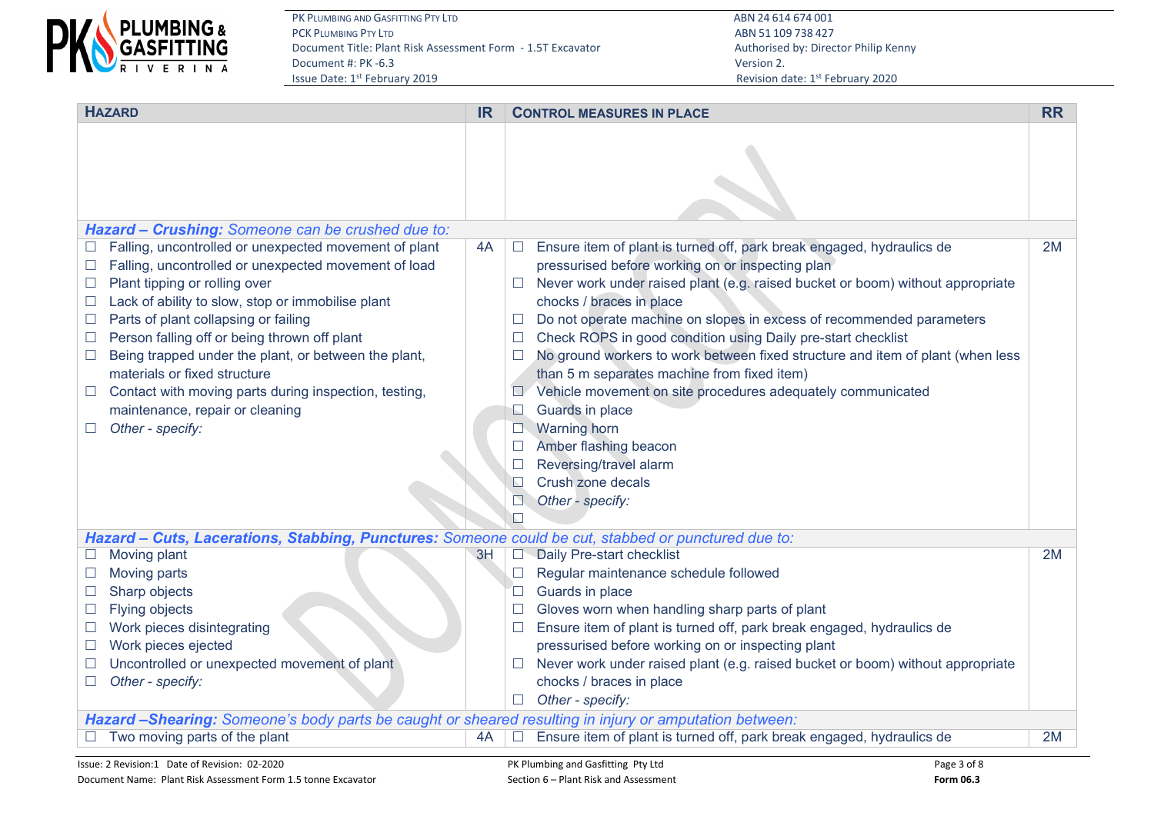

PK PLUMBING AND GASFITTING PTY LTD<br>PCK PLUMBING PTY LTD ABN 24 614 674 001 Document Title: Plant Risk Assessment Form - 1.5T Excavator Authorised by: Director Philip Kenny Document #: PK -6.3 Version 2.

ABN 51 109 738 427 Revision date: 1st February 2020

| <b>HAZARD</b>                                                                                          | <b>IR</b> |                  | <b>CONTROL MEASURES IN PLACE</b>                                               | <b>RR</b> |
|--------------------------------------------------------------------------------------------------------|-----------|------------------|--------------------------------------------------------------------------------|-----------|
|                                                                                                        |           |                  |                                                                                |           |
| Hazard - Crushing: Someone can be crushed due to:                                                      |           |                  |                                                                                |           |
| Falling, uncontrolled or unexpected movement of plant                                                  | 4A        | $\Box$           | Ensure item of plant is turned off, park break engaged, hydraulics de          | 2M        |
| Falling, uncontrolled or unexpected movement of load<br>$\Box$                                         |           |                  | pressurised before working on or inspecting plan                               |           |
| Plant tipping or rolling over<br>$\Box$                                                                |           | $\Box$           | Never work under raised plant (e.g. raised bucket or boom) without appropriate |           |
| Lack of ability to slow, stop or immobilise plant                                                      |           |                  | chocks / braces in place                                                       |           |
| Parts of plant collapsing or failing<br>$\Box$                                                         |           | $\Box$           | Do not operate machine on slopes in excess of recommended parameters           |           |
| Person falling off or being thrown off plant<br>$\Box$                                                 |           | $\Box$           | Check ROPS in good condition using Daily pre-start checklist                   |           |
| Being trapped under the plant, or between the plant,<br>$\Box$                                         |           | $\Box$           | No ground workers to work between fixed structure and item of plant (when less |           |
| materials or fixed structure                                                                           |           |                  | than 5 m separates machine from fixed item)                                    |           |
| Contact with moving parts during inspection, testing,                                                  |           | $\Box$           | Vehicle movement on site procedures adequately communicated                    |           |
| maintenance, repair or cleaning<br>Other - specify:                                                    |           | L                | Guards in place<br><b>Warning horn</b>                                         |           |
|                                                                                                        |           | $\Box$<br>$\Box$ | Amber flashing beacon                                                          |           |
|                                                                                                        |           | $\Box$           | Reversing/travel alarm                                                         |           |
|                                                                                                        |           | $\Box$           | Crush zone decals                                                              |           |
|                                                                                                        |           | $\Box$           | Other - specify:                                                               |           |
|                                                                                                        |           | $\Box$           |                                                                                |           |
| Hazard - Cuts, Lacerations, Stabbing, Punctures: Someone could be cut, stabbed or punctured due to:    |           |                  |                                                                                |           |
| Moving plant                                                                                           | 3H        | $\Box$           | Daily Pre-start checklist                                                      | 2M        |
| Moving parts                                                                                           |           | $\Box$           | Regular maintenance schedule followed                                          |           |
| Sharp objects<br>$\Box$                                                                                |           | $\Box$           | Guards in place                                                                |           |
| Flying objects<br>$\Box$                                                                               |           | $\Box$           | Gloves worn when handling sharp parts of plant                                 |           |
| Work pieces disintegrating<br>$\Box$                                                                   |           | $\Box$           | Ensure item of plant is turned off, park break engaged, hydraulics de          |           |
| Work pieces ejected<br>$\Box$                                                                          |           |                  | pressurised before working on or inspecting plant                              |           |
| Uncontrolled or unexpected movement of plant                                                           |           | $\Box$           | Never work under raised plant (e.g. raised bucket or boom) without appropriate |           |
| Other - specify:<br>$\Box$                                                                             |           |                  | chocks / braces in place                                                       |           |
|                                                                                                        |           | $\Box$           | Other - specify:                                                               |           |
| Hazard -Shearing: Someone's body parts be caught or sheared resulting in injury or amputation between: |           |                  |                                                                                |           |
| Two moving parts of the plant                                                                          | 4A        |                  | Ensure item of plant is turned off, park break engaged, hydraulics de          | 2M        |
| Issue: 2 Revision:1 Date of Revision: 02-2020                                                          |           |                  | Page 3 of 8<br>PK Plumbing and Gasfitting Pty Ltd                              |           |

Document Name: Plant Risk Assessment Form 1.5 tonne Excavator Section 6 – Plant Risk and Assessment **Form 06.3** Form 06.3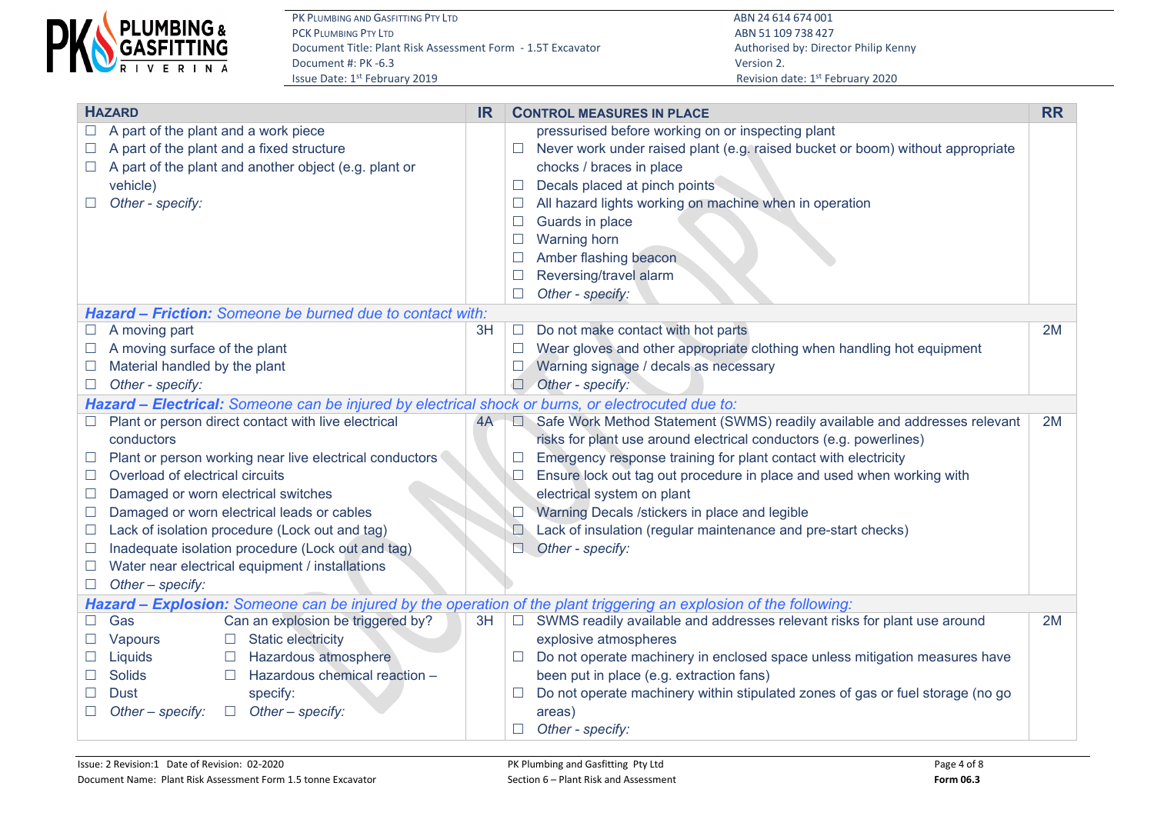

ABN 51 109 738 427 Revision date: 1st February 2020

|        | <b>HAZARD</b>                                                                                                      | <b>IR</b> |               | <b>CONTROL MEASURES IN PLACE</b>                                               | <b>RR</b> |  |  |
|--------|--------------------------------------------------------------------------------------------------------------------|-----------|---------------|--------------------------------------------------------------------------------|-----------|--|--|
|        | A part of the plant and a work piece                                                                               |           |               | pressurised before working on or inspecting plant                              |           |  |  |
|        | A part of the plant and a fixed structure                                                                          |           | $\Box$        | Never work under raised plant (e.g. raised bucket or boom) without appropriate |           |  |  |
| $\Box$ | A part of the plant and another object (e.g. plant or                                                              |           |               | chocks / braces in place                                                       |           |  |  |
|        | vehicle)                                                                                                           |           | $\Box$        | Decals placed at pinch points                                                  |           |  |  |
|        | Other - specify:                                                                                                   |           | ⊔             | All hazard lights working on machine when in operation                         |           |  |  |
|        |                                                                                                                    |           |               | Guards in place                                                                |           |  |  |
|        |                                                                                                                    |           | $\Box$        | <b>Warning horn</b>                                                            |           |  |  |
|        |                                                                                                                    |           |               | Amber flashing beacon                                                          |           |  |  |
|        |                                                                                                                    |           |               | Reversing/travel alarm                                                         |           |  |  |
|        |                                                                                                                    |           | $\Box$        | Other - specify:                                                               |           |  |  |
|        | Hazard - Friction: Someone be burned due to contact with:                                                          |           |               |                                                                                |           |  |  |
|        | A moving part                                                                                                      | 3H        | $\Box$        | Do not make contact with hot parts                                             | 2M        |  |  |
|        | A moving surface of the plant                                                                                      |           | $\Box$        | Wear gloves and other appropriate clothing when handling hot equipment         |           |  |  |
|        | Material handled by the plant                                                                                      |           |               | Warning signage / decals as necessary                                          |           |  |  |
|        | Other - specify:                                                                                                   |           | $\Box$        | Other - specify:                                                               |           |  |  |
|        | Hazard - Electrical: Someone can be injured by electrical shock or burns, or electrocuted due to:                  |           |               |                                                                                |           |  |  |
|        | Plant or person direct contact with live electrical                                                                | 4A        | $\Box$        | Safe Work Method Statement (SWMS) readily available and addresses relevant     | 2M        |  |  |
|        | conductors                                                                                                         |           |               | risks for plant use around electrical conductors (e.g. powerlines)             |           |  |  |
| ш      | Plant or person working near live electrical conductors                                                            |           | $\mathcal{L}$ | Emergency response training for plant contact with electricity                 |           |  |  |
|        | Overload of electrical circuits                                                                                    |           | $\Box$        | Ensure lock out tag out procedure in place and used when working with          |           |  |  |
|        | Damaged or worn electrical switches                                                                                |           |               | electrical system on plant                                                     |           |  |  |
|        | Damaged or worn electrical leads or cables                                                                         |           |               | Warning Decals /stickers in place and legible                                  |           |  |  |
| $\Box$ | Lack of isolation procedure (Lock out and tag)                                                                     |           |               | Lack of insulation (regular maintenance and pre-start checks)                  |           |  |  |
|        | Inadequate isolation procedure (Lock out and tag)                                                                  |           | $\Box$        | Other - specify:                                                               |           |  |  |
| $\Box$ | Water near electrical equipment / installations                                                                    |           |               |                                                                                |           |  |  |
|        | Other - specify:                                                                                                   |           |               |                                                                                |           |  |  |
|        | Hazard - Explosion: Someone can be injured by the operation of the plant triggering an explosion of the following: |           |               |                                                                                |           |  |  |
|        | Gas<br>Can an explosion be triggered by?                                                                           | 3H        | $\Box$        | SWMS readily available and addresses relevant risks for plant use around       | 2M        |  |  |
|        | <b>Static electricity</b><br>Vapours<br>$\Box$                                                                     |           |               | explosive atmospheres                                                          |           |  |  |
|        | Hazardous atmosphere<br>Liquids                                                                                    |           | ш             | Do not operate machinery in enclosed space unless mitigation measures have     |           |  |  |
|        | Hazardous chemical reaction -<br><b>Solids</b>                                                                     |           |               | been put in place (e.g. extraction fans)                                       |           |  |  |
|        | specify:<br><b>Dust</b>                                                                                            |           | $\Box$        | Do not operate machinery within stipulated zones of gas or fuel storage (no go |           |  |  |
| $\Box$ | Other - specify:<br>Other $-$ specify:<br>$\Box$                                                                   |           |               | areas)                                                                         |           |  |  |
|        |                                                                                                                    |           | $\Box$        | Other - specify:                                                               |           |  |  |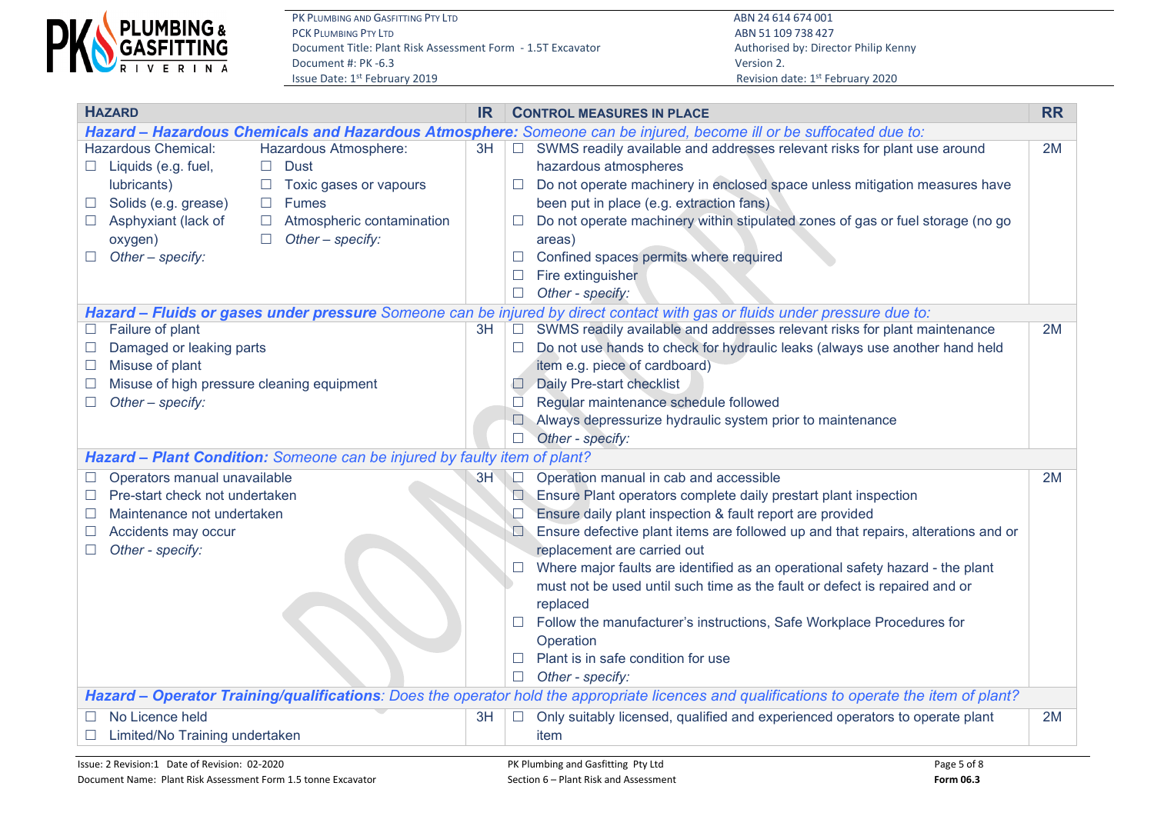

| <b>HAZARD</b>                                                             | <b>IR</b> |                  | <b>CONTROL MEASURES IN PLACE</b>                                                                                                            | <b>RR</b> |
|---------------------------------------------------------------------------|-----------|------------------|---------------------------------------------------------------------------------------------------------------------------------------------|-----------|
|                                                                           |           |                  | Hazard - Hazardous Chemicals and Hazardous Atmosphere: Someone can be injured, become ill or be suffocated due to:                          |           |
| <b>Hazardous Chemical:</b><br>Hazardous Atmosphere:                       | 3H        | $\Box$           | SWMS readily available and addresses relevant risks for plant use around                                                                    | 2M        |
| <b>Dust</b><br>Liquids (e.g. fuel,<br>$\Box$<br>$\mathbb{Z}^n$            |           |                  | hazardous atmospheres                                                                                                                       |           |
| lubricants)<br>Toxic gases or vapours<br>$\Box$                           |           | $\mathcal{L}$    | Do not operate machinery in enclosed space unless mitigation measures have                                                                  |           |
| Solids (e.g. grease)<br><b>Fumes</b><br>$\Box$<br>ш                       |           |                  | been put in place (e.g. extraction fans)                                                                                                    |           |
| Asphyxiant (lack of<br>Atmospheric contamination<br>$\Box$                |           | $\Box$           | Do not operate machinery within stipulated zones of gas or fuel storage (no go                                                              |           |
| Other - specify:<br>oxygen)<br>$\Box$                                     |           |                  | areas)                                                                                                                                      |           |
| Other $-$ specify:                                                        |           | $\Box$<br>$\Box$ | Confined spaces permits where required<br>Fire extinguisher                                                                                 |           |
|                                                                           |           | $\Box$           | Other - specify:                                                                                                                            |           |
|                                                                           |           |                  | Hazard - Fluids or gases under pressure Someone can be injured by direct contact with gas or fluids under pressure due to:                  |           |
| Failure of plant                                                          | 3H        | $\Box$           | SWMS readily available and addresses relevant risks for plant maintenance                                                                   | 2M        |
| Damaged or leaking parts                                                  |           | ш                | Do not use hands to check for hydraulic leaks (always use another hand held                                                                 |           |
| Misuse of plant                                                           |           |                  | item e.g. piece of cardboard)                                                                                                               |           |
| Misuse of high pressure cleaning equipment                                |           | $\Box$           | Daily Pre-start checklist                                                                                                                   |           |
| Other - specify:                                                          |           | $\Box$           | Regular maintenance schedule followed                                                                                                       |           |
|                                                                           |           |                  | Always depressurize hydraulic system prior to maintenance                                                                                   |           |
|                                                                           |           | $\Box$           | Other - specify:                                                                                                                            |           |
| Hazard - Plant Condition: Someone can be injured by faulty item of plant? |           |                  |                                                                                                                                             |           |
| Operators manual unavailable<br>$\Box$                                    | 3H        | $\Box$           | Operation manual in cab and accessible                                                                                                      | 2M        |
| Pre-start check not undertaken                                            |           | $\Box$           | Ensure Plant operators complete daily prestart plant inspection                                                                             |           |
| Maintenance not undertaken                                                |           |                  | Ensure daily plant inspection & fault report are provided                                                                                   |           |
| Accidents may occur                                                       |           | $\Box$           | Ensure defective plant items are followed up and that repairs, alterations and or                                                           |           |
| Other - specify:                                                          |           |                  | replacement are carried out                                                                                                                 |           |
|                                                                           |           |                  | Where major faults are identified as an operational safety hazard - the plant                                                               |           |
|                                                                           |           |                  | must not be used until such time as the fault or defect is repaired and or                                                                  |           |
|                                                                           |           |                  | replaced                                                                                                                                    |           |
|                                                                           |           | $\Box$           | Follow the manufacturer's instructions, Safe Workplace Procedures for<br>Operation                                                          |           |
|                                                                           |           | П                | Plant is in safe condition for use                                                                                                          |           |
|                                                                           |           | $\Box$           | Other - specify:                                                                                                                            |           |
|                                                                           |           |                  | Hazard - Operator Training/qualifications: Does the operator hold the appropriate licences and qualifications to operate the item of plant? |           |
| No Licence held                                                           | 3H        | $\Box$           | Only suitably licensed, qualified and experienced operators to operate plant                                                                | 2M        |
| Limited/No Training undertaken                                            |           |                  | item                                                                                                                                        |           |
|                                                                           |           |                  |                                                                                                                                             |           |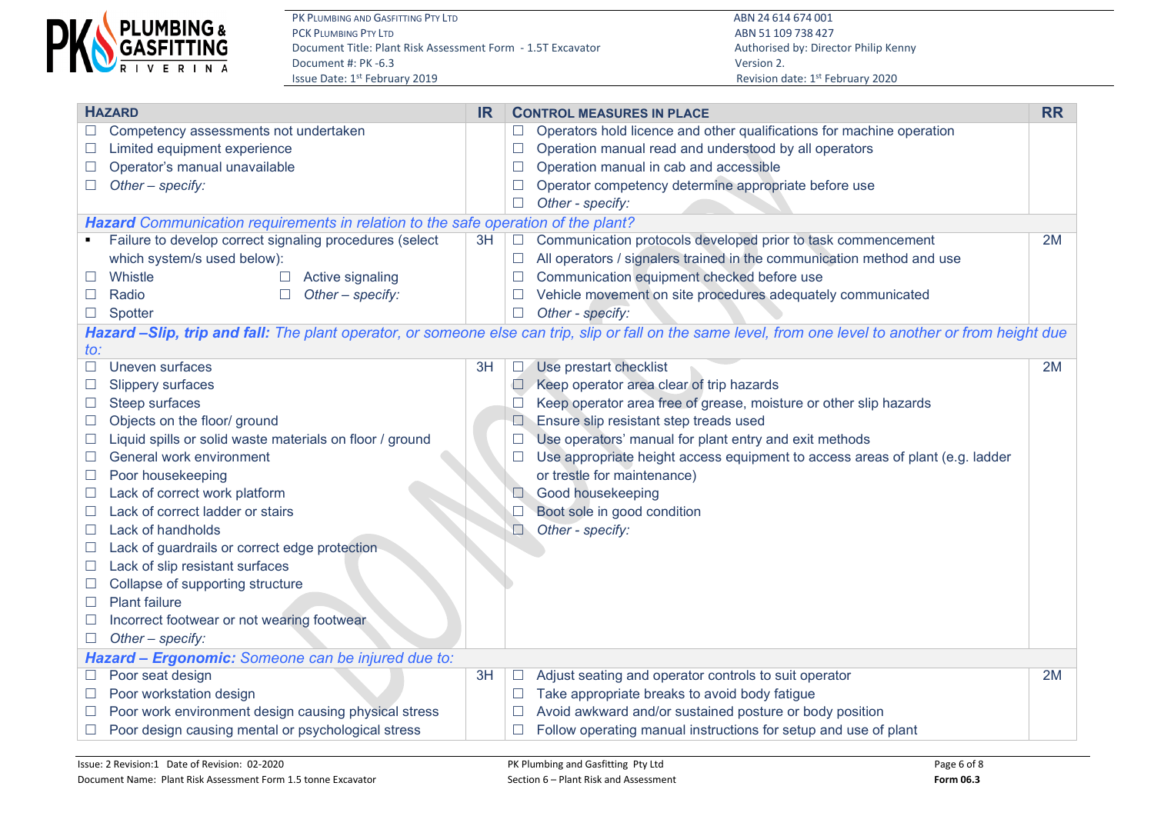

| <b>HAZARD</b>                                                                  | <b>IR</b>                                                                         | <b>CONTROL MEASURES IN PLACE</b>                                                                                                                        | <b>RR</b> |  |  |  |  |  |  |  |  |
|--------------------------------------------------------------------------------|-----------------------------------------------------------------------------------|---------------------------------------------------------------------------------------------------------------------------------------------------------|-----------|--|--|--|--|--|--|--|--|
| Competency assessments not undertaken<br>$\Box$                                |                                                                                   | Operators hold licence and other qualifications for machine operation<br>$\Box$                                                                         |           |  |  |  |  |  |  |  |  |
| Limited equipment experience                                                   |                                                                                   | Operation manual read and understood by all operators<br>$\Box$                                                                                         |           |  |  |  |  |  |  |  |  |
| Operator's manual unavailable<br>$\Box$                                        |                                                                                   | Operation manual in cab and accessible<br>$\Box$                                                                                                        |           |  |  |  |  |  |  |  |  |
| Other - specify:<br>$\Box$                                                     |                                                                                   | Operator competency determine appropriate before use<br>$\Box$                                                                                          |           |  |  |  |  |  |  |  |  |
|                                                                                |                                                                                   | Other - specify:<br>$\Box$                                                                                                                              |           |  |  |  |  |  |  |  |  |
|                                                                                | Hazard Communication requirements in relation to the safe operation of the plant? |                                                                                                                                                         |           |  |  |  |  |  |  |  |  |
| Failure to develop correct signaling procedures (select                        | 3H                                                                                | Communication protocols developed prior to task commencement<br>$\Box$                                                                                  | 2M        |  |  |  |  |  |  |  |  |
| which system/s used below):                                                    |                                                                                   | All operators / signalers trained in the communication method and use<br>$\Box$                                                                         |           |  |  |  |  |  |  |  |  |
| Whistle<br>Active signaling<br>⊔                                               |                                                                                   | Communication equipment checked before use<br>$\Box$                                                                                                    |           |  |  |  |  |  |  |  |  |
| Radio<br>Other - specify:<br>$\Box$<br>$\Box$                                  |                                                                                   | Vehicle movement on site procedures adequately communicated<br>$\Box$                                                                                   |           |  |  |  |  |  |  |  |  |
| Spotter<br>$\Box$                                                              |                                                                                   | $\Box$<br>Other - specify:                                                                                                                              |           |  |  |  |  |  |  |  |  |
|                                                                                |                                                                                   | Hazard -Slip, trip and fall: The plant operator, or someone else can trip, slip or fall on the same level, from one level to another or from height due |           |  |  |  |  |  |  |  |  |
| to:                                                                            |                                                                                   |                                                                                                                                                         |           |  |  |  |  |  |  |  |  |
| Uneven surfaces<br>$\Box$                                                      | 3H                                                                                | Use prestart checklist<br>$\Box$                                                                                                                        | 2M        |  |  |  |  |  |  |  |  |
| <b>Slippery surfaces</b>                                                       |                                                                                   | Keep operator area clear of trip hazards<br>$\Box$                                                                                                      |           |  |  |  |  |  |  |  |  |
| Steep surfaces<br>$\Box$                                                       |                                                                                   | Keep operator area free of grease, moisture or other slip hazards<br>$\Box$                                                                             |           |  |  |  |  |  |  |  |  |
| Objects on the floor/ ground<br>$\Box$                                         |                                                                                   | Ensure slip resistant step treads used<br>$\Box$                                                                                                        |           |  |  |  |  |  |  |  |  |
| Liquid spills or solid waste materials on floor / ground<br>$\Box$             |                                                                                   | Use operators' manual for plant entry and exit methods                                                                                                  |           |  |  |  |  |  |  |  |  |
| General work environment<br>$\Box$                                             |                                                                                   | Use appropriate height access equipment to access areas of plant (e.g. ladder<br>$\Box$                                                                 |           |  |  |  |  |  |  |  |  |
| Poor housekeeping<br>$\mathcal{L}$                                             |                                                                                   | or trestle for maintenance)                                                                                                                             |           |  |  |  |  |  |  |  |  |
| Lack of correct work platform<br>$\Box$                                        |                                                                                   | Good housekeeping<br>$\Box$                                                                                                                             |           |  |  |  |  |  |  |  |  |
| Lack of correct ladder or stairs<br>$\Box$                                     |                                                                                   | Boot sole in good condition<br>$\Box$                                                                                                                   |           |  |  |  |  |  |  |  |  |
| Lack of handholds<br>$\Box$                                                    |                                                                                   | $\Box$<br>Other - specify:                                                                                                                              |           |  |  |  |  |  |  |  |  |
| Lack of guardrails or correct edge protection<br>ப                             |                                                                                   |                                                                                                                                                         |           |  |  |  |  |  |  |  |  |
| Lack of slip resistant surfaces<br>⊔                                           |                                                                                   |                                                                                                                                                         |           |  |  |  |  |  |  |  |  |
| Collapse of supporting structure                                               |                                                                                   |                                                                                                                                                         |           |  |  |  |  |  |  |  |  |
| <b>Plant failure</b><br>$\Box$                                                 |                                                                                   |                                                                                                                                                         |           |  |  |  |  |  |  |  |  |
| Incorrect footwear or not wearing footwear<br>ப                                |                                                                                   |                                                                                                                                                         |           |  |  |  |  |  |  |  |  |
| Other - specify:<br>$\Box$                                                     |                                                                                   |                                                                                                                                                         |           |  |  |  |  |  |  |  |  |
| Hazard - Ergonomic: Someone can be injured due to:                             |                                                                                   |                                                                                                                                                         |           |  |  |  |  |  |  |  |  |
| Poor seat design<br>$\Box$                                                     | 3H                                                                                | Adjust seating and operator controls to suit operator<br>$\Box$                                                                                         | 2M        |  |  |  |  |  |  |  |  |
| Poor workstation design<br>$\Box$                                              |                                                                                   | Take appropriate breaks to avoid body fatigue<br>$\Box$                                                                                                 |           |  |  |  |  |  |  |  |  |
| Poor work environment design causing physical stress                           |                                                                                   | Avoid awkward and/or sustained posture or body position<br>$\Box$                                                                                       |           |  |  |  |  |  |  |  |  |
| Poor design causing mental or psychological stress<br>$\overline{\phantom{a}}$ |                                                                                   | Follow operating manual instructions for setup and use of plant<br>$\Box$                                                                               |           |  |  |  |  |  |  |  |  |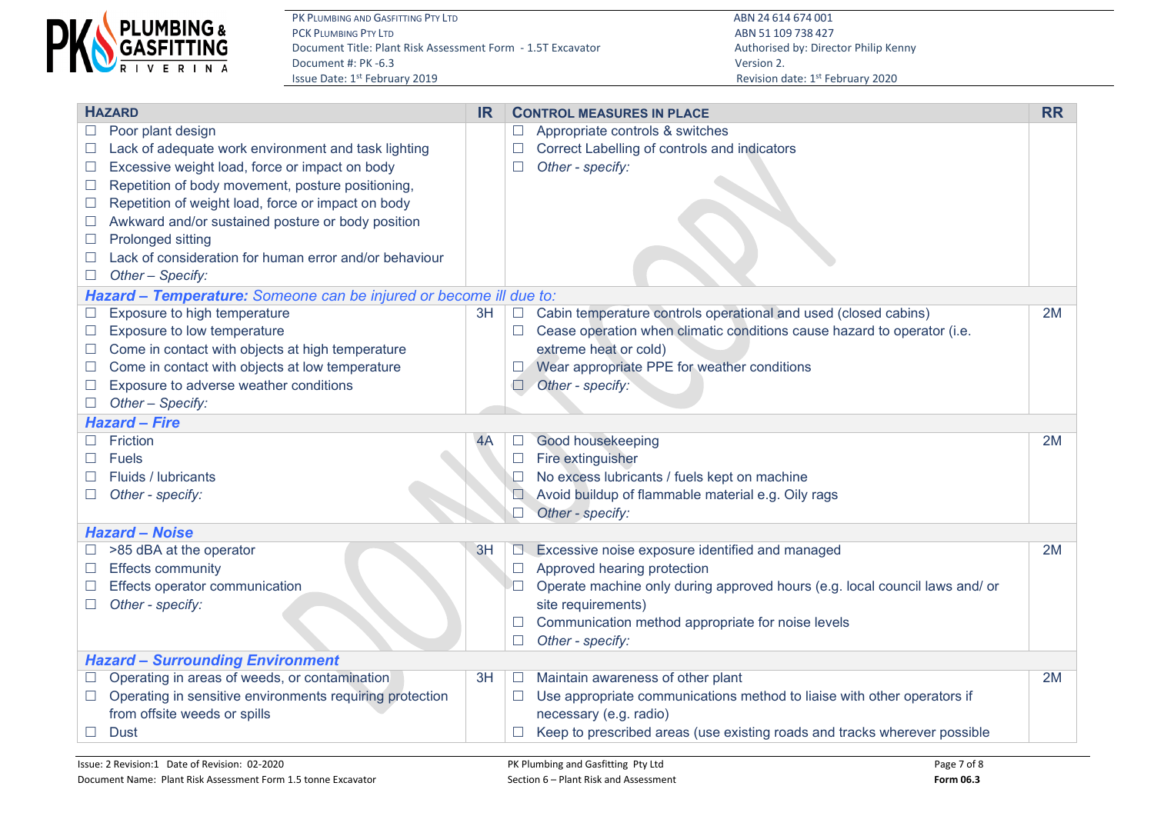

|        | <b>HAZARD</b>                                                      | <b>IR</b> |        | <b>CONTROL MEASURES IN PLACE</b>                                            | <b>RR</b> |
|--------|--------------------------------------------------------------------|-----------|--------|-----------------------------------------------------------------------------|-----------|
|        | Poor plant design                                                  |           | $\Box$ | Appropriate controls & switches                                             |           |
| $\Box$ | Lack of adequate work environment and task lighting                |           | $\Box$ | Correct Labelling of controls and indicators                                |           |
| $\Box$ | Excessive weight load, force or impact on body                     |           | $\Box$ | Other - specify:                                                            |           |
| $\Box$ | Repetition of body movement, posture positioning,                  |           |        |                                                                             |           |
| $\Box$ | Repetition of weight load, force or impact on body                 |           |        |                                                                             |           |
| $\Box$ | Awkward and/or sustained posture or body position                  |           |        |                                                                             |           |
| $\Box$ | Prolonged sitting                                                  |           |        |                                                                             |           |
|        | Lack of consideration for human error and/or behaviour             |           |        |                                                                             |           |
|        | Other - Specify:                                                   |           |        |                                                                             |           |
|        | Hazard - Temperature: Someone can be injured or become ill due to: |           |        |                                                                             |           |
| $\Box$ | Exposure to high temperature                                       | 3H        | $\Box$ | Cabin temperature controls operational and used (closed cabins)             | 2M        |
| $\Box$ | Exposure to low temperature                                        |           | $\Box$ | Cease operation when climatic conditions cause hazard to operator (i.e.     |           |
| $\Box$ | Come in contact with objects at high temperature                   |           |        | extreme heat or cold)                                                       |           |
| $\Box$ | Come in contact with objects at low temperature                    |           | ∟∠     | Wear appropriate PPE for weather conditions                                 |           |
| $\Box$ | Exposure to adverse weather conditions                             |           | $\Box$ | Other - specify:                                                            |           |
| $\Box$ | Other - Specify:                                                   |           |        |                                                                             |           |
|        | <b>Hazard - Fire</b>                                               |           |        |                                                                             |           |
|        | Friction                                                           | 4A        | $\Box$ | Good housekeeping                                                           | 2M        |
|        | <b>Fuels</b>                                                       |           | $\Box$ | Fire extinguisher                                                           |           |
|        | Fluids / lubricants                                                |           |        | No excess lubricants / fuels kept on machine                                |           |
| $\Box$ | Other - specify:                                                   |           |        | Avoid buildup of flammable material e.g. Oily rags                          |           |
|        |                                                                    |           | $\Box$ | Other - specify:                                                            |           |
|        | <b>Hazard - Noise</b>                                              |           |        |                                                                             |           |
|        | >85 dBA at the operator                                            | 3H        | N.     | Excessive noise exposure identified and managed                             | 2M        |
| $\Box$ | <b>Effects community</b>                                           |           | $\Box$ | Approved hearing protection                                                 |           |
|        | Effects operator communication                                     |           |        | Operate machine only during approved hours (e.g. local council laws and/ or |           |
|        | Other - specify:                                                   |           |        | site requirements)                                                          |           |
|        |                                                                    |           |        | Communication method appropriate for noise levels                           |           |
|        |                                                                    |           | $\Box$ | Other - specify:                                                            |           |
|        | <b>Hazard - Surrounding Environment</b>                            |           |        |                                                                             |           |
| $\Box$ | Operating in areas of weeds, or contamination                      | 3H        | $\Box$ | Maintain awareness of other plant                                           | 2M        |
| $\Box$ | Operating in sensitive environments requiring protection           |           | $\Box$ | Use appropriate communications method to liaise with other operators if     |           |
|        | from offsite weeds or spills                                       |           |        | necessary (e.g. radio)                                                      |           |
| $\Box$ | <b>Dust</b>                                                        |           |        | Keep to prescribed areas (use existing roads and tracks wherever possible   |           |